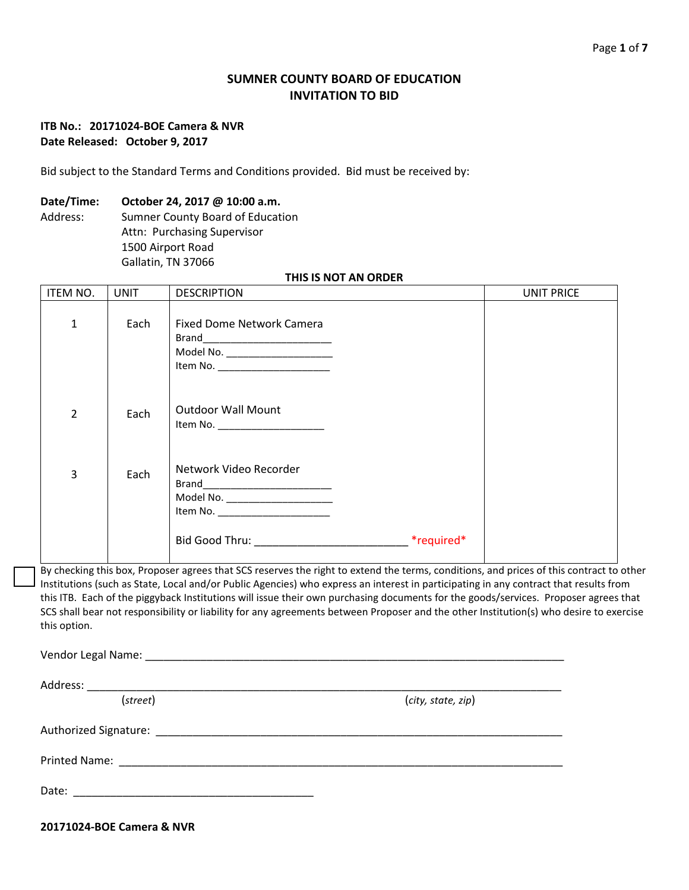# **SUMNER COUNTY BOARD OF EDUCATION INVITATION TO BID**

## **ITB No.: 20171024-BOE Camera & NVR Date Released: October 9, 2017**

Bid subject to the Standard Terms and Conditions provided. Bid must be received by:

### **Date/Time: October 24, 2017 @ 10:00 a.m.**

Address: Sumner County Board of Education Attn: Purchasing Supervisor 1500 Airport Road Gallatin, TN 37066

#### **THIS IS NOT AN ORDER**

| ITEM NO.       | <b>UNIT</b> | <b>DESCRIPTION</b>                                                                                                                                                                                | UNIT PRICE |
|----------------|-------------|---------------------------------------------------------------------------------------------------------------------------------------------------------------------------------------------------|------------|
| $\mathbf{1}$   | Each        | <b>Fixed Dome Network Camera</b><br>Model No. _______________________                                                                                                                             |            |
| $\overline{2}$ | Each        | <b>Outdoor Wall Mount</b><br>Item No. ______________________                                                                                                                                      |            |
| 3              | Each        | Network Video Recorder<br>Model No. _______________________<br>Item No. ______________________                                                                                                    |            |
|                |             | Bid Good Thru: ___________________________________ *required*<br>Du shashing this hay. Duanacan sansas that CCC noonnas the night to putand the towns consilitance and mulges of this contrast to |            |

By checking this box, Proposer agrees that SCS reserves the right to extend the terms, conditions, and prices of this contract to other Institutions (such as State, Local and/or Public Agencies) who express an interest in participating in any contract that results from this ITB. Each of the piggyback Institutions will issue their own purchasing documents for the goods/services. Proposer agrees that SCS shall bear not responsibility or liability for any agreements between Proposer and the other Institution(s) who desire to exercise this option.

Vendor Legal Name: \_\_\_\_\_\_\_\_\_\_\_\_\_\_\_\_\_\_\_\_\_\_\_\_\_\_\_\_\_\_\_\_\_\_\_\_\_\_\_\_\_\_\_\_\_\_\_\_\_\_\_\_\_\_\_\_\_\_\_\_\_\_\_\_\_\_\_\_

Address: \_\_\_\_\_\_\_\_\_\_\_\_\_\_\_\_\_\_\_\_\_\_\_\_\_\_\_\_\_\_\_\_\_\_\_\_\_\_\_\_\_\_\_\_\_\_\_\_\_\_\_\_\_\_\_\_\_\_\_\_\_\_\_\_\_\_\_\_\_\_\_\_\_\_\_\_\_ (*street*) (*city, state, zip*) Authorized Signature: \_\_\_\_\_\_\_\_\_\_\_\_\_\_\_\_\_\_\_\_\_\_\_\_\_\_\_\_\_\_\_\_\_\_\_\_\_\_\_\_\_\_\_\_\_\_\_\_\_\_\_\_\_\_\_\_\_\_\_\_\_\_\_\_\_\_ Printed Name: \_\_\_\_\_\_\_\_\_\_\_\_\_\_\_\_\_\_\_\_\_\_\_\_\_\_\_\_\_\_\_\_\_\_\_\_\_\_\_\_\_\_\_\_\_\_\_\_\_\_\_\_\_\_\_\_\_\_\_\_\_\_\_\_\_\_\_\_\_\_\_\_ Date: \_\_\_\_\_\_\_\_\_\_\_\_\_\_\_\_\_\_\_\_\_\_\_\_\_\_\_\_\_\_\_\_\_\_\_\_\_\_\_

**20171024-BOE Camera & NVR**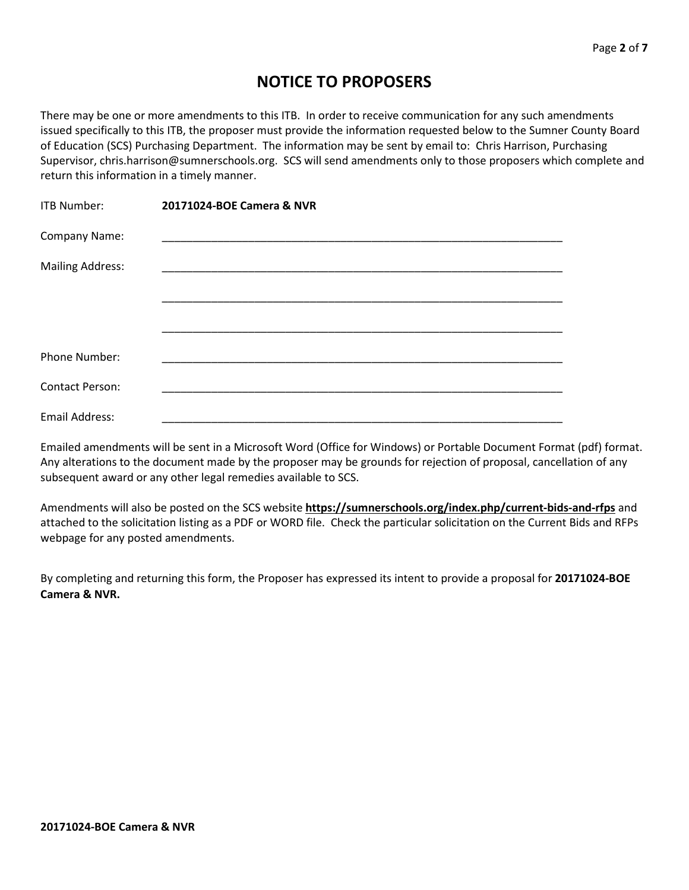# **NOTICE TO PROPOSERS**

There may be one or more amendments to this ITB. In order to receive communication for any such amendments issued specifically to this ITB, the proposer must provide the information requested below to the Sumner County Board of Education (SCS) Purchasing Department. The information may be sent by email to: Chris Harrison, Purchasing Supervisor, chris.harrison@sumnerschools.org. SCS will send amendments only to those proposers which complete and return this information in a timely manner.

| ITB Number:             | 20171024-BOE Camera & NVR |  |
|-------------------------|---------------------------|--|
| Company Name:           |                           |  |
| <b>Mailing Address:</b> |                           |  |
|                         |                           |  |
|                         |                           |  |
| Phone Number:           |                           |  |
| <b>Contact Person:</b>  |                           |  |
| Email Address:          |                           |  |

Emailed amendments will be sent in a Microsoft Word (Office for Windows) or Portable Document Format (pdf) format. Any alterations to the document made by the proposer may be grounds for rejection of proposal, cancellation of any subsequent award or any other legal remedies available to SCS.

Amendments will also be posted on the SCS website **https://sumnerschools.org/index.php/current-bids-and-rfps** and attached to the solicitation listing as a PDF or WORD file. Check the particular solicitation on the Current Bids and RFPs webpage for any posted amendments.

By completing and returning this form, the Proposer has expressed its intent to provide a proposal for **20171024-BOE Camera & NVR.**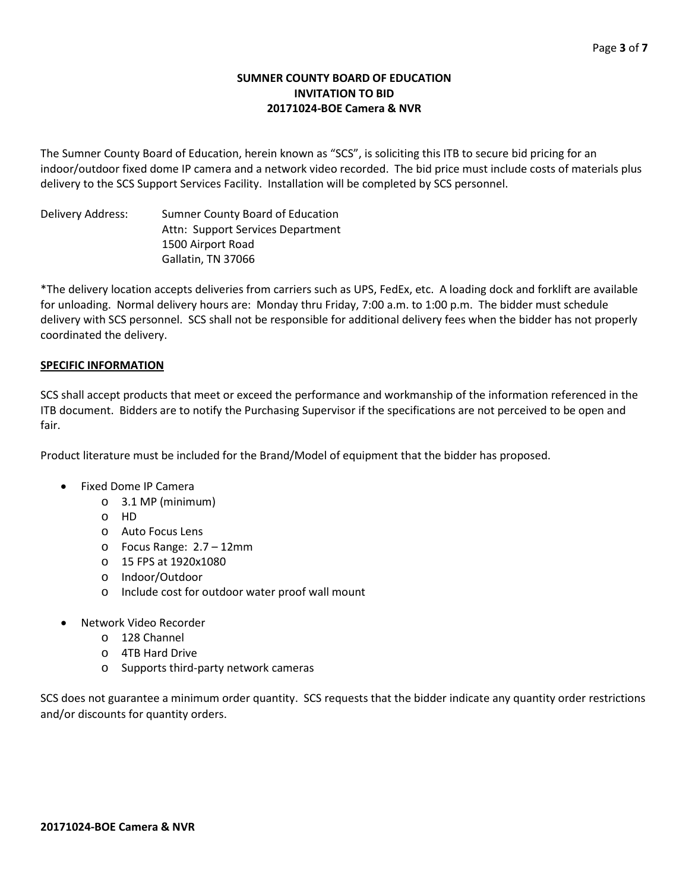# **SUMNER COUNTY BOARD OF EDUCATION INVITATION TO BID 20171024-BOE Camera & NVR**

The Sumner County Board of Education, herein known as "SCS", is soliciting this ITB to secure bid pricing for an indoor/outdoor fixed dome IP camera and a network video recorded. The bid price must include costs of materials plus delivery to the SCS Support Services Facility. Installation will be completed by SCS personnel.

Delivery Address: Sumner County Board of Education Attn: Support Services Department 1500 Airport Road Gallatin, TN 37066

\*The delivery location accepts deliveries from carriers such as UPS, FedEx, etc. A loading dock and forklift are available for unloading. Normal delivery hours are: Monday thru Friday, 7:00 a.m. to 1:00 p.m. The bidder must schedule delivery with SCS personnel. SCS shall not be responsible for additional delivery fees when the bidder has not properly coordinated the delivery.

# **SPECIFIC INFORMATION**

SCS shall accept products that meet or exceed the performance and workmanship of the information referenced in the ITB document. Bidders are to notify the Purchasing Supervisor if the specifications are not perceived to be open and fair.

Product literature must be included for the Brand/Model of equipment that the bidder has proposed.

- Fixed Dome IP Camera
	- o 3.1 MP (minimum)
	- o HD
	- o Auto Focus Lens
	- o Focus Range: 2.7 12mm
	- o 15 FPS at 1920x1080
	- o Indoor/Outdoor
	- o Include cost for outdoor water proof wall mount
- Network Video Recorder
	- o 128 Channel
	- o 4TB Hard Drive
	- o Supports third-party network cameras

SCS does not guarantee a minimum order quantity. SCS requests that the bidder indicate any quantity order restrictions and/or discounts for quantity orders.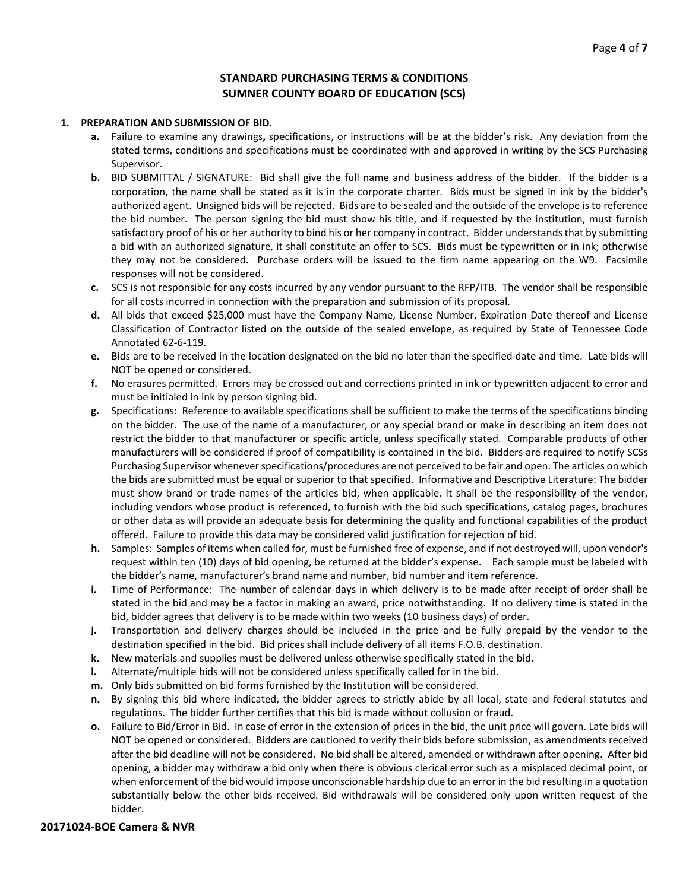## **STANDARD PURCHASING TERMS & CONDITIONS SUMNER COUNTY BOARD OF EDUCATION (SCS)**

#### **1. PREPARATION AND SUBMISSION OF BID.**

- **a.** Failure to examine any drawings**,** specifications, or instructions will be at the bidder's risk. Any deviation from the stated terms, conditions and specifications must be coordinated with and approved in writing by the SCS Purchasing Supervisor.
- **b.** BID SUBMITTAL / SIGNATURE: Bid shall give the full name and business address of the bidder. If the bidder is a corporation, the name shall be stated as it is in the corporate charter. Bids must be signed in ink by the bidder's authorized agent. Unsigned bids will be rejected. Bids are to be sealed and the outside of the envelope is to reference the bid number. The person signing the bid must show his title, and if requested by the institution, must furnish satisfactory proof of his or her authority to bind his or her company in contract. Bidder understands that by submitting a bid with an authorized signature, it shall constitute an offer to SCS. Bids must be typewritten or in ink; otherwise they may not be considered. Purchase orders will be issued to the firm name appearing on the W9. Facsimile responses will not be considered.
- **c.** SCS is not responsible for any costs incurred by any vendor pursuant to the RFP/ITB. The vendor shall be responsible for all costs incurred in connection with the preparation and submission of its proposal.
- **d.** All bids that exceed \$25,000 must have the Company Name, License Number, Expiration Date thereof and License Classification of Contractor listed on the outside of the sealed envelope, as required by State of Tennessee Code Annotated 62-6-119.
- **e.** Bids are to be received in the location designated on the bid no later than the specified date and time. Late bids will NOT be opened or considered.
- **f.** No erasures permitted. Errors may be crossed out and corrections printed in ink or typewritten adjacent to error and must be initialed in ink by person signing bid.
- **g.** Specifications: Reference to available specifications shall be sufficient to make the terms of the specifications binding on the bidder. The use of the name of a manufacturer, or any special brand or make in describing an item does not restrict the bidder to that manufacturer or specific article, unless specifically stated. Comparable products of other manufacturers will be considered if proof of compatibility is contained in the bid. Bidders are required to notify SCSs Purchasing Supervisor whenever specifications/procedures are not perceived to be fair and open. The articles on which the bids are submitted must be equal or superior to that specified. Informative and Descriptive Literature: The bidder must show brand or trade names of the articles bid, when applicable. It shall be the responsibility of the vendor, including vendors whose product is referenced, to furnish with the bid such specifications, catalog pages, brochures or other data as will provide an adequate basis for determining the quality and functional capabilities of the product offered. Failure to provide this data may be considered valid justification for rejection of bid.
- **h.** Samples: Samples of items when called for, must be furnished free of expense, and if not destroyed will, upon vendor's request within ten (10) days of bid opening, be returned at the bidder's expense. Each sample must be labeled with the bidder's name, manufacturer's brand name and number, bid number and item reference.
- **i.** Time of Performance: The number of calendar days in which delivery is to be made after receipt of order shall be stated in the bid and may be a factor in making an award, price notwithstanding. If no delivery time is stated in the bid, bidder agrees that delivery is to be made within two weeks (10 business days) of order.
- **j.** Transportation and delivery charges should be included in the price and be fully prepaid by the vendor to the destination specified in the bid. Bid prices shall include delivery of all items F.O.B. destination.
- **k.** New materials and supplies must be delivered unless otherwise specifically stated in the bid.
- **l.** Alternate/multiple bids will not be considered unless specifically called for in the bid.
- **m.** Only bids submitted on bid forms furnished by the Institution will be considered.
- **n.** By signing this bid where indicated, the bidder agrees to strictly abide by all local, state and federal statutes and regulations. The bidder further certifies that this bid is made without collusion or fraud.
- **o.** Failure to Bid/Error in Bid. In case of error in the extension of prices in the bid, the unit price will govern. Late bids will NOT be opened or considered. Bidders are cautioned to verify their bids before submission, as amendments received after the bid deadline will not be considered. No bid shall be altered, amended or withdrawn after opening. After bid opening, a bidder may withdraw a bid only when there is obvious clerical error such as a misplaced decimal point, or when enforcement of the bid would impose unconscionable hardship due to an error in the bid resulting in a quotation substantially below the other bids received. Bid withdrawals will be considered only upon written request of the bidder.

#### **20171024-BOE Camera & NVR**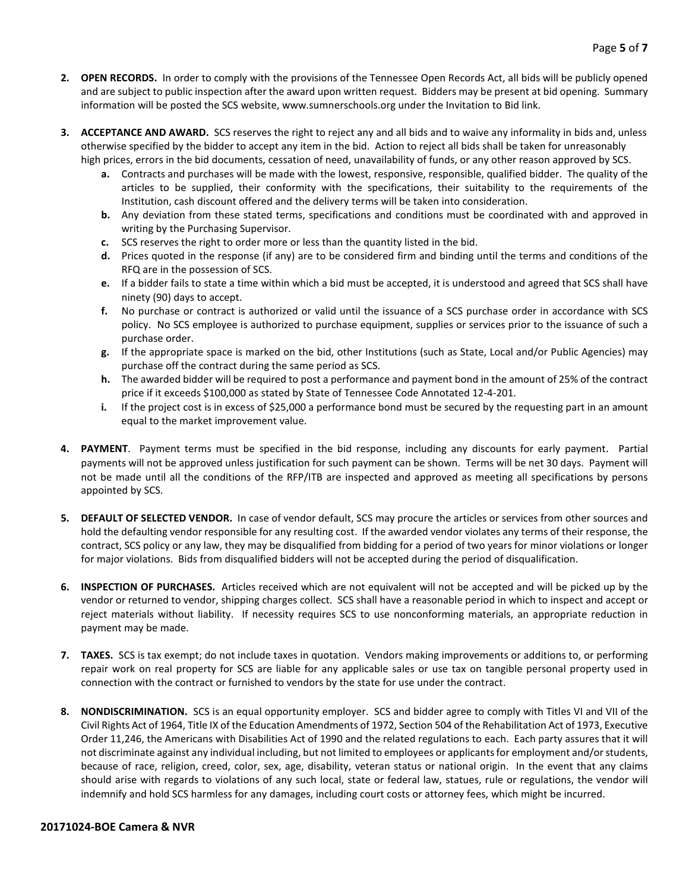- **2. OPEN RECORDS.** In order to comply with the provisions of the Tennessee Open Records Act, all bids will be publicly opened and are subject to public inspection after the award upon written request. Bidders may be present at bid opening. Summary information will be posted the SCS website, www.sumnerschools.org under the Invitation to Bid link.
- **3. ACCEPTANCE AND AWARD.** SCS reserves the right to reject any and all bids and to waive any informality in bids and, unless otherwise specified by the bidder to accept any item in the bid. Action to reject all bids shall be taken for unreasonably high prices, errors in the bid documents, cessation of need, unavailability of funds, or any other reason approved by SCS.
	- **a.** Contracts and purchases will be made with the lowest, responsive, responsible, qualified bidder. The quality of the articles to be supplied, their conformity with the specifications, their suitability to the requirements of the Institution, cash discount offered and the delivery terms will be taken into consideration.
	- **b.** Any deviation from these stated terms, specifications and conditions must be coordinated with and approved in writing by the Purchasing Supervisor.
	- **c.** SCS reserves the right to order more or less than the quantity listed in the bid.
	- **d.** Prices quoted in the response (if any) are to be considered firm and binding until the terms and conditions of the RFQ are in the possession of SCS.
	- **e.** If a bidder fails to state a time within which a bid must be accepted, it is understood and agreed that SCS shall have ninety (90) days to accept.
	- **f.** No purchase or contract is authorized or valid until the issuance of a SCS purchase order in accordance with SCS policy. No SCS employee is authorized to purchase equipment, supplies or services prior to the issuance of such a purchase order.
	- **g.** If the appropriate space is marked on the bid, other Institutions (such as State, Local and/or Public Agencies) may purchase off the contract during the same period as SCS.
	- **h.** The awarded bidder will be required to post a performance and payment bond in the amount of 25% of the contract price if it exceeds \$100,000 as stated by State of Tennessee Code Annotated 12-4-201.
	- **i.** If the project cost is in excess of \$25,000 a performance bond must be secured by the requesting part in an amount equal to the market improvement value.
- **4. PAYMENT**. Payment terms must be specified in the bid response, including any discounts for early payment. Partial payments will not be approved unless justification for such payment can be shown. Terms will be net 30 days. Payment will not be made until all the conditions of the RFP/ITB are inspected and approved as meeting all specifications by persons appointed by SCS.
- **5. DEFAULT OF SELECTED VENDOR.** In case of vendor default, SCS may procure the articles or services from other sources and hold the defaulting vendor responsible for any resulting cost. If the awarded vendor violates any terms of their response, the contract, SCS policy or any law, they may be disqualified from bidding for a period of two years for minor violations or longer for major violations. Bids from disqualified bidders will not be accepted during the period of disqualification.
- **6. INSPECTION OF PURCHASES.** Articles received which are not equivalent will not be accepted and will be picked up by the vendor or returned to vendor, shipping charges collect. SCS shall have a reasonable period in which to inspect and accept or reject materials without liability. If necessity requires SCS to use nonconforming materials, an appropriate reduction in payment may be made.
- **7. TAXES.** SCS is tax exempt; do not include taxes in quotation. Vendors making improvements or additions to, or performing repair work on real property for SCS are liable for any applicable sales or use tax on tangible personal property used in connection with the contract or furnished to vendors by the state for use under the contract.
- **8. NONDISCRIMINATION.** SCS is an equal opportunity employer. SCS and bidder agree to comply with Titles VI and VII of the Civil Rights Act of 1964, Title IX of the Education Amendments of 1972, Section 504 of the Rehabilitation Act of 1973, Executive Order 11,246, the Americans with Disabilities Act of 1990 and the related regulations to each. Each party assures that it will not discriminate against any individual including, but not limited to employees or applicants for employment and/or students, because of race, religion, creed, color, sex, age, disability, veteran status or national origin. In the event that any claims should arise with regards to violations of any such local, state or federal law, statues, rule or regulations, the vendor will indemnify and hold SCS harmless for any damages, including court costs or attorney fees, which might be incurred.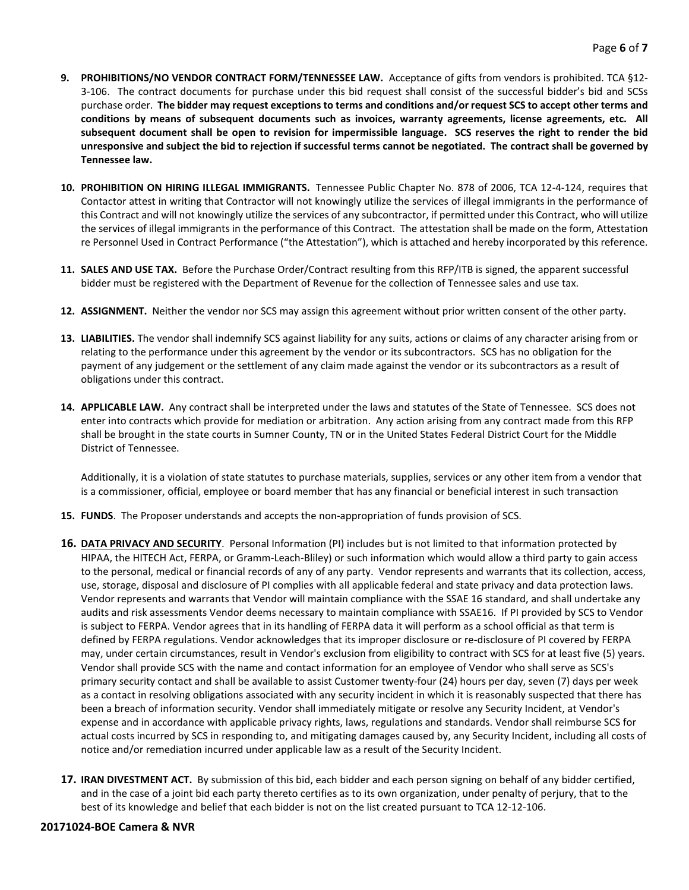- **9. PROHIBITIONS/NO VENDOR CONTRACT FORM/TENNESSEE LAW.** Acceptance of gifts from vendors is prohibited. TCA §12- 3-106. The contract documents for purchase under this bid request shall consist of the successful bidder's bid and SCSs purchase order. **The bidder may request exceptions to terms and conditions and/or request SCS to accept other terms and conditions by means of subsequent documents such as invoices, warranty agreements, license agreements, etc. All subsequent document shall be open to revision for impermissible language. SCS reserves the right to render the bid unresponsive and subject the bid to rejection if successful terms cannot be negotiated. The contract shall be governed by Tennessee law.**
- **10. PROHIBITION ON HIRING ILLEGAL IMMIGRANTS.** Tennessee Public Chapter No. 878 of 2006, TCA 12-4-124, requires that Contactor attest in writing that Contractor will not knowingly utilize the services of illegal immigrants in the performance of this Contract and will not knowingly utilize the services of any subcontractor, if permitted under this Contract, who will utilize the services of illegal immigrants in the performance of this Contract. The attestation shall be made on the form, Attestation re Personnel Used in Contract Performance ("the Attestation"), which is attached and hereby incorporated by this reference.
- **11. SALES AND USE TAX.** Before the Purchase Order/Contract resulting from this RFP/ITB is signed, the apparent successful bidder must be registered with the Department of Revenue for the collection of Tennessee sales and use tax.
- **12. ASSIGNMENT.** Neither the vendor nor SCS may assign this agreement without prior written consent of the other party.
- **13. LIABILITIES.** The vendor shall indemnify SCS against liability for any suits, actions or claims of any character arising from or relating to the performance under this agreement by the vendor or its subcontractors. SCS has no obligation for the payment of any judgement or the settlement of any claim made against the vendor or its subcontractors as a result of obligations under this contract.
- **14. APPLICABLE LAW.** Any contract shall be interpreted under the laws and statutes of the State of Tennessee. SCS does not enter into contracts which provide for mediation or arbitration. Any action arising from any contract made from this RFP shall be brought in the state courts in Sumner County, TN or in the United States Federal District Court for the Middle District of Tennessee.

Additionally, it is a violation of state statutes to purchase materials, supplies, services or any other item from a vendor that is a commissioner, official, employee or board member that has any financial or beneficial interest in such transaction

- **15. FUNDS**. The Proposer understands and accepts the non-appropriation of funds provision of SCS.
- **16. DATA PRIVACY AND SECURITY**. Personal Information (PI) includes but is not limited to that information protected by HIPAA, the HITECH Act, FERPA, or Gramm-Leach-Bliley) or such information which would allow a third party to gain access to the personal, medical or financial records of any of any party. Vendor represents and warrants that its collection, access, use, storage, disposal and disclosure of PI complies with all applicable federal and state privacy and data protection laws. Vendor represents and warrants that Vendor will maintain compliance with the SSAE 16 standard, and shall undertake any audits and risk assessments Vendor deems necessary to maintain compliance with SSAE16. If PI provided by SCS to Vendor is subject to FERPA. Vendor agrees that in its handling of FERPA data it will perform as a school official as that term is defined by FERPA regulations. Vendor acknowledges that its improper disclosure or re-disclosure of PI covered by FERPA may, under certain circumstances, result in Vendor's exclusion from eligibility to contract with SCS for at least five (5) years. Vendor shall provide SCS with the name and contact information for an employee of Vendor who shall serve as SCS's primary security contact and shall be available to assist Customer twenty-four (24) hours per day, seven (7) days per week as a contact in resolving obligations associated with any security incident in which it is reasonably suspected that there has been a breach of information security. Vendor shall immediately mitigate or resolve any Security Incident, at Vendor's expense and in accordance with applicable privacy rights, laws, regulations and standards. Vendor shall reimburse SCS for actual costs incurred by SCS in responding to, and mitigating damages caused by, any Security Incident, including all costs of notice and/or remediation incurred under applicable law as a result of the Security Incident.
- **17. IRAN DIVESTMENT ACT.** By submission of this bid, each bidder and each person signing on behalf of any bidder certified, and in the case of a joint bid each party thereto certifies as to its own organization, under penalty of perjury, that to the best of its knowledge and belief that each bidder is not on the list created pursuant to TCA 12-12-106.

#### **20171024-BOE Camera & NVR**